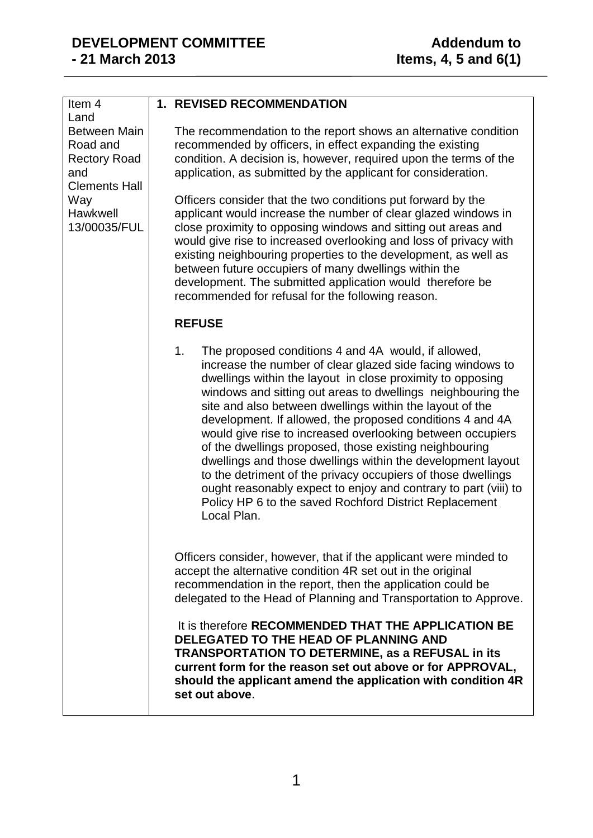| Item 4<br>Land                                                                        | <b>1. REVISED RECOMMENDATION</b>                                                                                                                                                                                                                                                                                                                                                                                                                                                                                                                                                                                                                                                                                                                                                 |
|---------------------------------------------------------------------------------------|----------------------------------------------------------------------------------------------------------------------------------------------------------------------------------------------------------------------------------------------------------------------------------------------------------------------------------------------------------------------------------------------------------------------------------------------------------------------------------------------------------------------------------------------------------------------------------------------------------------------------------------------------------------------------------------------------------------------------------------------------------------------------------|
| Between Main<br>Road and<br><b>Rectory Road</b><br>and<br><b>Clements Hall</b><br>Way | The recommendation to the report shows an alternative condition<br>recommended by officers, in effect expanding the existing<br>condition. A decision is, however, required upon the terms of the<br>application, as submitted by the applicant for consideration.<br>Officers consider that the two conditions put forward by the                                                                                                                                                                                                                                                                                                                                                                                                                                               |
| Hawkwell<br>13/00035/FUL                                                              | applicant would increase the number of clear glazed windows in<br>close proximity to opposing windows and sitting out areas and<br>would give rise to increased overlooking and loss of privacy with<br>existing neighbouring properties to the development, as well as<br>between future occupiers of many dwellings within the<br>development. The submitted application would therefore be<br>recommended for refusal for the following reason.                                                                                                                                                                                                                                                                                                                               |
|                                                                                       | <b>REFUSE</b>                                                                                                                                                                                                                                                                                                                                                                                                                                                                                                                                                                                                                                                                                                                                                                    |
|                                                                                       | The proposed conditions 4 and 4A would, if allowed,<br>1.<br>increase the number of clear glazed side facing windows to<br>dwellings within the layout in close proximity to opposing<br>windows and sitting out areas to dwellings neighbouring the<br>site and also between dwellings within the layout of the<br>development. If allowed, the proposed conditions 4 and 4A<br>would give rise to increased overlooking between occupiers<br>of the dwellings proposed, those existing neighbouring<br>dwellings and those dwellings within the development layout<br>to the detriment of the privacy occupiers of those dwellings<br>ought reasonably expect to enjoy and contrary to part (viii) to<br>Policy HP 6 to the saved Rochford District Replacement<br>Local Plan. |
|                                                                                       | Officers consider, however, that if the applicant were minded to<br>accept the alternative condition 4R set out in the original<br>recommendation in the report, then the application could be<br>delegated to the Head of Planning and Transportation to Approve.                                                                                                                                                                                                                                                                                                                                                                                                                                                                                                               |
|                                                                                       | It is therefore RECOMMENDED THAT THE APPLICATION BE<br>DELEGATED TO THE HEAD OF PLANNING AND<br><b>TRANSPORTATION TO DETERMINE, as a REFUSAL in its</b><br>current form for the reason set out above or for APPROVAL,<br>should the applicant amend the application with condition 4R<br>set out above.                                                                                                                                                                                                                                                                                                                                                                                                                                                                          |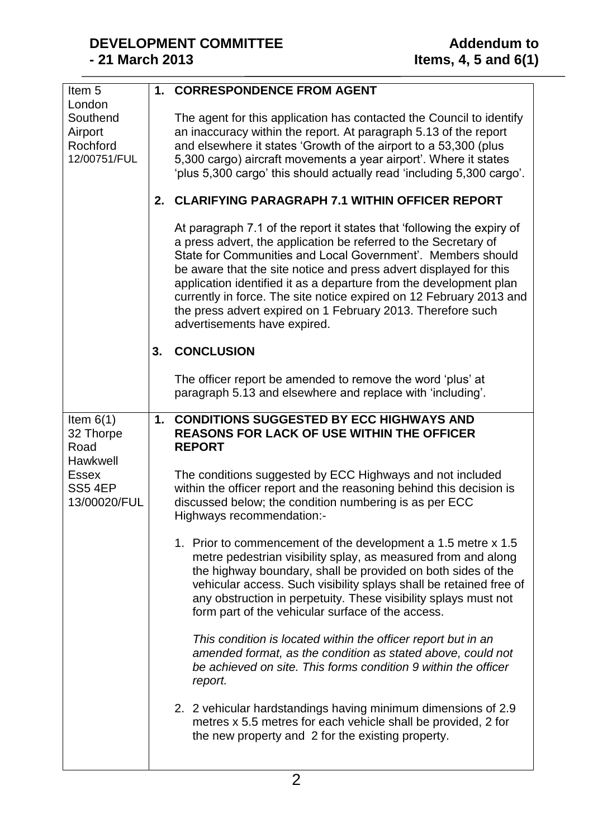| Item <sub>5</sub><br>London                                                            |    | 1. CORRESPONDENCE FROM AGENT                                                                                                                                                                                                                                                                                                                                                                                                                                                                                              |
|----------------------------------------------------------------------------------------|----|---------------------------------------------------------------------------------------------------------------------------------------------------------------------------------------------------------------------------------------------------------------------------------------------------------------------------------------------------------------------------------------------------------------------------------------------------------------------------------------------------------------------------|
| Southend<br>Airport<br>Rochford<br>12/00751/FUL                                        |    | The agent for this application has contacted the Council to identify<br>an inaccuracy within the report. At paragraph 5.13 of the report<br>and elsewhere it states 'Growth of the airport to a 53,300 (plus<br>5,300 cargo) aircraft movements a year airport'. Where it states<br>'plus 5,300 cargo' this should actually read 'including 5,300 cargo'.                                                                                                                                                                 |
|                                                                                        |    | 2. CLARIFYING PARAGRAPH 7.1 WITHIN OFFICER REPORT                                                                                                                                                                                                                                                                                                                                                                                                                                                                         |
|                                                                                        |    | At paragraph 7.1 of the report it states that 'following the expiry of<br>a press advert, the application be referred to the Secretary of<br>State for Communities and Local Government'. Members should<br>be aware that the site notice and press advert displayed for this<br>application identified it as a departure from the development plan<br>currently in force. The site notice expired on 12 February 2013 and<br>the press advert expired on 1 February 2013. Therefore such<br>advertisements have expired. |
|                                                                                        | 3. | <b>CONCLUSION</b>                                                                                                                                                                                                                                                                                                                                                                                                                                                                                                         |
|                                                                                        |    | The officer report be amended to remove the word 'plus' at<br>paragraph 5.13 and elsewhere and replace with 'including'.                                                                                                                                                                                                                                                                                                                                                                                                  |
| Item $6(1)$<br>32 Thorpe<br>Road<br>Hawkwell<br><b>Essex</b><br>SS54EP<br>13/00020/FUL |    | 1. CONDITIONS SUGGESTED BY ECC HIGHWAYS AND<br><b>REASONS FOR LACK OF USE WITHIN THE OFFICER</b><br><b>REPORT</b>                                                                                                                                                                                                                                                                                                                                                                                                         |
|                                                                                        |    | The conditions suggested by ECC Highways and not included<br>within the officer report and the reasoning behind this decision is<br>discussed below; the condition numbering is as per ECC<br>Highways recommendation:-                                                                                                                                                                                                                                                                                                   |
|                                                                                        |    | 1. Prior to commencement of the development a 1.5 metre x 1.5<br>metre pedestrian visibility splay, as measured from and along<br>the highway boundary, shall be provided on both sides of the<br>vehicular access. Such visibility splays shall be retained free of<br>any obstruction in perpetuity. These visibility splays must not<br>form part of the vehicular surface of the access.                                                                                                                              |
|                                                                                        |    | This condition is located within the officer report but in an<br>amended format, as the condition as stated above, could not<br>be achieved on site. This forms condition 9 within the officer<br>report.                                                                                                                                                                                                                                                                                                                 |
|                                                                                        |    | 2. 2 vehicular hardstandings having minimum dimensions of 2.9<br>metres x 5.5 metres for each vehicle shall be provided, 2 for<br>the new property and 2 for the existing property.                                                                                                                                                                                                                                                                                                                                       |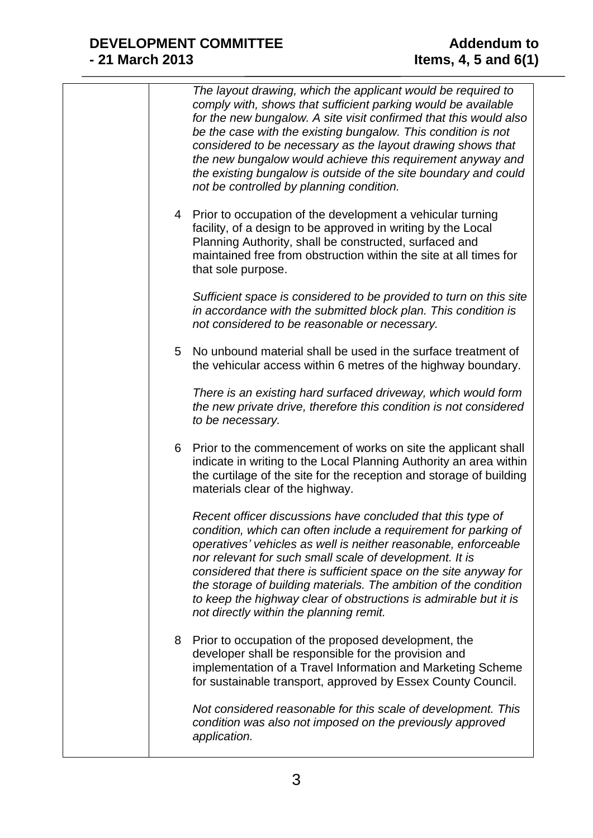|   | The layout drawing, which the applicant would be required to<br>comply with, shows that sufficient parking would be available<br>for the new bungalow. A site visit confirmed that this would also<br>be the case with the existing bungalow. This condition is not<br>considered to be necessary as the layout drawing shows that<br>the new bungalow would achieve this requirement anyway and<br>the existing bungalow is outside of the site boundary and could<br>not be controlled by planning condition.     |
|---|---------------------------------------------------------------------------------------------------------------------------------------------------------------------------------------------------------------------------------------------------------------------------------------------------------------------------------------------------------------------------------------------------------------------------------------------------------------------------------------------------------------------|
|   | 4 Prior to occupation of the development a vehicular turning<br>facility, of a design to be approved in writing by the Local<br>Planning Authority, shall be constructed, surfaced and<br>maintained free from obstruction within the site at all times for<br>that sole purpose.                                                                                                                                                                                                                                   |
|   | Sufficient space is considered to be provided to turn on this site<br>in accordance with the submitted block plan. This condition is<br>not considered to be reasonable or necessary.                                                                                                                                                                                                                                                                                                                               |
| 5 | No unbound material shall be used in the surface treatment of<br>the vehicular access within 6 metres of the highway boundary.                                                                                                                                                                                                                                                                                                                                                                                      |
|   | There is an existing hard surfaced driveway, which would form<br>the new private drive, therefore this condition is not considered<br>to be necessary.                                                                                                                                                                                                                                                                                                                                                              |
| 6 | Prior to the commencement of works on site the applicant shall<br>indicate in writing to the Local Planning Authority an area within<br>the curtilage of the site for the reception and storage of building<br>materials clear of the highway.                                                                                                                                                                                                                                                                      |
|   | Recent officer discussions have concluded that this type of<br>condition, which can often include a requirement for parking of<br>operatives' vehicles as well is neither reasonable, enforceable<br>nor relevant for such small scale of development. It is<br>considered that there is sufficient space on the site anyway for<br>the storage of building materials. The ambition of the condition<br>to keep the highway clear of obstructions is admirable but it is<br>not directly within the planning remit. |
| 8 | Prior to occupation of the proposed development, the<br>developer shall be responsible for the provision and<br>implementation of a Travel Information and Marketing Scheme<br>for sustainable transport, approved by Essex County Council.                                                                                                                                                                                                                                                                         |
|   | Not considered reasonable for this scale of development. This<br>condition was also not imposed on the previously approved<br>application.                                                                                                                                                                                                                                                                                                                                                                          |